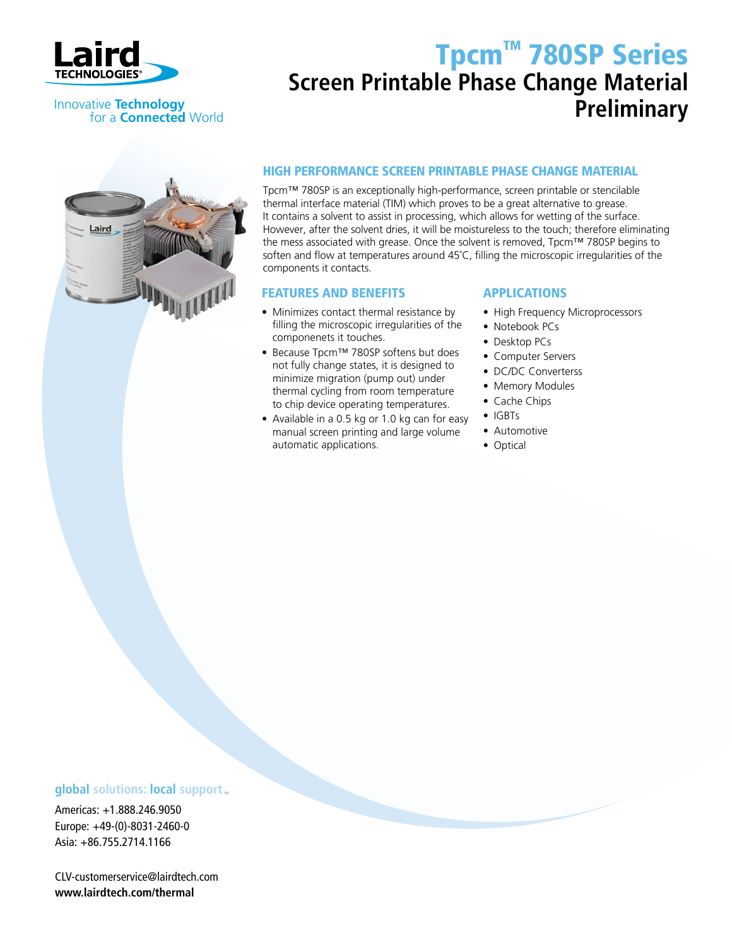

Innovative **Technology**

# Tpcm™ 780SP Series **Screen Printable Phase Change Material Preliminary**



for a **Connected** World

### High performance screen printable phase change material

Tpcm™ 780SP is an exceptionally high-performance, screen printable or stencilable thermal interface material (TIM) which proves to be a great alternative to grease. It contains a solvent to assist in processing, which allows for wetting of the surface. However, after the solvent dries, it will be moistureless to the touch; therefore eliminating the mess associated with grease. Once the solvent is removed, Tpcm™ 780SP begins to soften and flow at temperatures around 45˚C, filling the microscopic irregularities of the components it contacts.

### FEATURES AND BENEFITS

- Minimizes contact thermal resistance by filling the microscopic irregularities of the componenets it touches.
- Because Tpcm™ 780SP softens but does not fully change states, it is designed to minimize migration (pump out) under thermal cycling from room temperature to chip device operating temperatures.
- Available in a 0.5 kg or 1.0 kg can for easy manual screen printing and large volume automatic applications.

### **APPLICATIONS**

- High Frequency Microprocessors
- Notebook PCs
- Desktop PCs
- Computer Servers
- DC/DC Converterss
- Memory Modules
- Cache Chips
- IGBTs
- Automotive
- Optical

### **global** solutions: **local** support

Americas: +1.888.246.9050 Europe: +49-(0)-8031-2460-0 Asia: +86.755.2714.1166

CLV-customerservice@lairdtech.com **www.lairdtech.com/thermal**